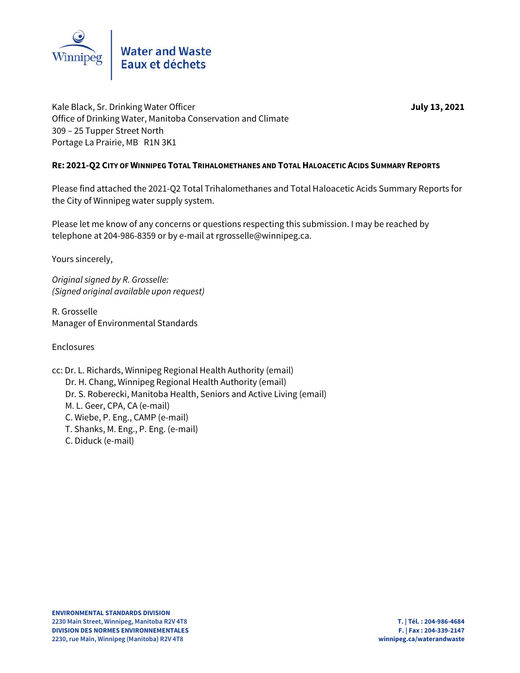

Kale Black, Sr. Drinking Water Officer **July** 13, 2021 Office of Drinking Water, Manitoba Conservation and Climate 309 – 25 Tupper Street North Portage La Prairie, MB R1N 3K1

### **RE: 2021-Q2 CITY OF WINNIPEG TOTAL TRIHALOMETHANES AND TOTAL HALOACETIC ACIDS SUMMARY REPORTS**

Please find attached the 2021-Q2 Total Trihalomethanes and Total Haloacetic Acids Summary Reports for the City of Winnipeg water supply system.

Please let me know of any concerns or questions respecting this submission. I may be reached by telephone at 204-986-8359 or by e-mail at rgrosselle@winnipeg.ca.

Yours sincerely,

*Original signed by R. Grosselle: (Signed original available upon request)*

R. Grosselle Manager of Environmental Standards

Enclosures

cc: Dr. L. Richards, Winnipeg Regional Health Authority (email) Dr. H. Chang, Winnipeg Regional Health Authority (email) Dr. S. Roberecki, Manitoba Health, Seniors and Active Living (email) M. L. Geer, CPA, CA (e-mail) C. Wiebe, P. Eng., CAMP (e-mail) T. Shanks, M. Eng., P. Eng. (e-mail) C. Diduck (e-mail)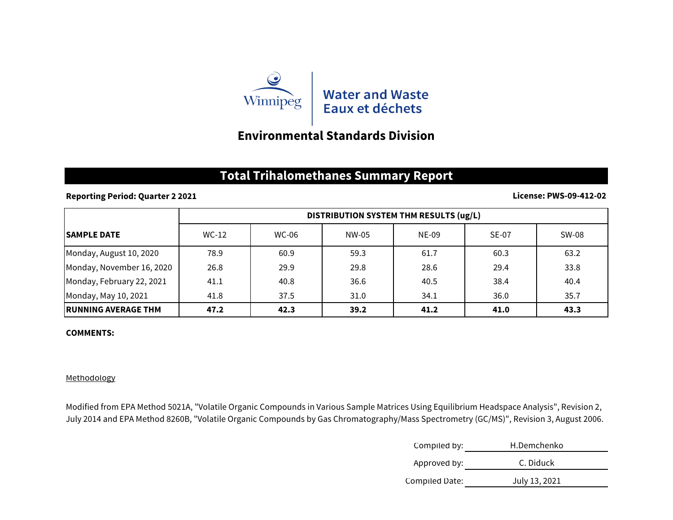

## **Environmental Standards Division**

# **Total Trihalomethanes Summary Report**

### **Reporting Period: Quarter 2 2021**

### **License: PWS-09-412-02**

|                            | DISTRIBUTION SYSTEM THM RESULTS (ug/L) |              |       |              |              |       |
|----------------------------|----------------------------------------|--------------|-------|--------------|--------------|-------|
| <b>ISAMPLE DATE</b>        | $WC-12$                                | <b>WC-06</b> | NW-05 | <b>NE-09</b> | <b>SE-07</b> | SW-08 |
| Monday, August 10, 2020    | 78.9                                   | 60.9         | 59.3  | 61.7         | 60.3         | 63.2  |
| Monday, November 16, 2020  | 26.8                                   | 29.9         | 29.8  | 28.6         | 29.4         | 33.8  |
| Monday, February 22, 2021  | 41.1                                   | 40.8         | 36.6  | 40.5         | 38.4         | 40.4  |
| Monday, May 10, 2021       | 41.8                                   | 37.5         | 31.0  | 34.1         | 36.0         | 35.7  |
| <b>RUNNING AVERAGE THM</b> | 47.2                                   | 42.3         | 39.2  | 41.2         | 41.0         | 43.3  |

#### **COMMENTS:**

#### Methodology

Modified from EPA Method 5021A, "Volatile Organic Compounds in Various Sample Matrices Using Equilibrium Headspace Analysis", Revision 2, July 2014 and EPA Method 8260B, "Volatile Organic Compounds by Gas Chromatography/Mass Spectrometry (GC/MS)", Revision 3, August 2006.

| Compiled by:   | H.Demchenko   |
|----------------|---------------|
| Approved by:   | C. Diduck     |
| Compiled Date: | July 13, 2021 |
|                |               |